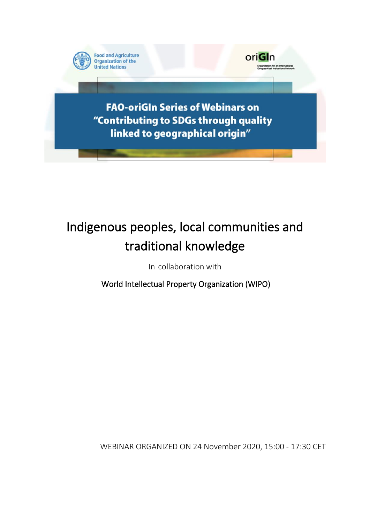

# Indigenous peoples, local communities and traditional knowledge

In collaboration with

World Intellectual Property Organization (WIPO)

WEBINAR ORGANIZED ON 24 November 2020, 15:00 - 17:30 CET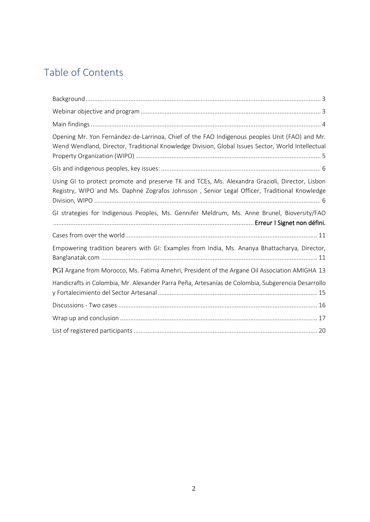## Table of Contents

| Opening Mr. Yon Fernández-de-Larrinoa, Chief of the FAO Indigenous peoples Unit (FAO) and Mr.<br>Wend Wendland, Director, Traditional Knowledge Division, Global Issues Sector, World Intellectual |
|----------------------------------------------------------------------------------------------------------------------------------------------------------------------------------------------------|
|                                                                                                                                                                                                    |
| Using GI to protect promote and preserve TK and TCEs, Ms. Alexandra Grazioli, Director, Lisbon<br>Registry, WIPO and Ms. Daphné Zografos Johnsson, Senior Legal Officer, Traditional Knowledge     |
| GI strategies for Indigenous Peoples, Ms. Gennifer Meldrum, Ms. Anne Brunel, Bioversity/FAO                                                                                                        |
|                                                                                                                                                                                                    |
| Empowering tradition bearers with GI: Examples from India, Ms. Ananya Bhattacharya, Director,                                                                                                      |
| PGI Argane from Morocco, Ms. Fatima Amehri, President of the Argane Oil Association AMIGHA 13                                                                                                      |
| Handicrafts in Colombia, Mr. Alexander Parra Peña, Artesanías de Colombia, Subgerencia Desarrollo                                                                                                  |
|                                                                                                                                                                                                    |
|                                                                                                                                                                                                    |
|                                                                                                                                                                                                    |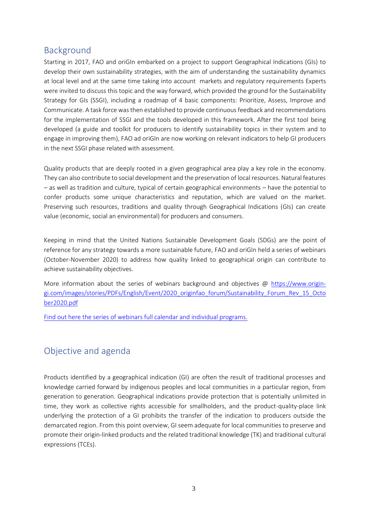## <span id="page-2-0"></span>Background

Starting in 2017, FAO and oriGIn embarked on a project to support Geographical Indications (GIs) to develop their own sustainability strategies, with the aim of understanding the sustainability dynamics at local level and at the same time taking into account markets and regulatory requirements Experts were invited to discuss this topic and the way forward, which provided the ground for the Sustainability Strategy for GIs (SSGI), including a roadmap of 4 basic components: Prioritize, Assess, Improve and Communicate. A task force wasthen established to provide continuous feedback and recommendations for the implementation of SSGI and the tools developed in this framework. After the first tool being developed (a guide and toolkit for producers to identify sustainability topics in their system and to engage in improving them), FAO ad oriGIn are now working on relevant indicators to help GI producers in the next SSGI phase related with assessment.

Quality products that are deeply rooted in a given geographical area play a key role in the economy. They can also contribute to social development and the preservation of local resources. Natural features – as well as tradition and culture, typical of certain geographical environments – have the potential to confer products some unique characteristics and reputation, which are valued on the market. Preserving such resources, traditions and quality through Geographical Indications (GIs) can create value (economic, social an environmental) for producers and consumers.

Keeping in mind that the United Nations Sustainable Development Goals (SDGs) are the point of reference for any strategy towards a more sustainable future, FAO and oriGIn held a series of webinars (October-November 2020) to address how quality linked to geographical origin can contribute to achieve sustainability objectives.

More information about the series of webinars background and objectives @ [https://www.origin](https://www.origin-gi.com/images/stories/PDFs/English/Event/2020_originfao_forum/Sustainability_Forum_Rev_15_October2020.pdf)[gi.com/images/stories/PDFs/English/Event/2020\\_originfao\\_forum/Sustainability\\_Forum\\_Rev\\_15\\_Octo](https://www.origin-gi.com/images/stories/PDFs/English/Event/2020_originfao_forum/Sustainability_Forum_Rev_15_October2020.pdf) [ber2020.pdf](https://www.origin-gi.com/images/stories/PDFs/English/Event/2020_originfao_forum/Sustainability_Forum_Rev_15_October2020.pdf)

[Find out here the series of webinars full calendar and individual programs.](https://www.origin-gi.com/content-page/item/15338-individual-webinars-programs.html)

## <span id="page-2-1"></span>Objective and agenda

Products identified by a geographical indication (GI) are often the result of traditional processes and knowledge carried forward by indigenous peoples and local communities in a particular region, from generation to generation. Geographical indications provide protection that is potentially unlimited in time, they work as collective rights accessible for smallholders, and the product-quality-place link underlying the protection of a GI prohibits the transfer of the indication to producers outside the demarcated region. From this point overview, GI seem adequate for local communities to preserve and promote their origin-linked products and the related traditional knowledge (TK) and traditional cultural expressions (TCEs).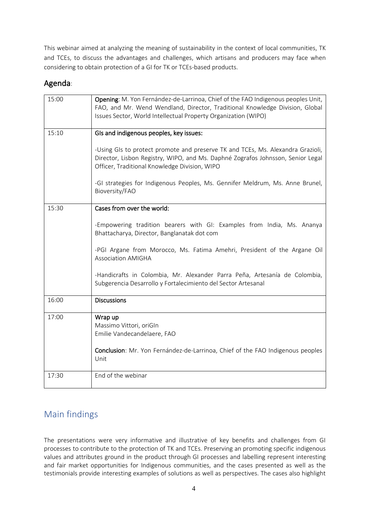This webinar aimed at analyzing the meaning of sustainability in the context of local communities, TK and TCEs, to discuss the advantages and challenges, which artisans and producers may face when considering to obtain protection of a GI for TK or TCEs-based products.

## Agenda:

| 15:00 | Opening: M. Yon Fernández-de-Larrinoa, Chief of the FAO Indigenous peoples Unit,<br>FAO, and Mr. Wend Wendland, Director, Traditional Knowledge Division, Global<br>Issues Sector, World Intellectual Property Organization (WIPO) |
|-------|------------------------------------------------------------------------------------------------------------------------------------------------------------------------------------------------------------------------------------|
| 15:10 | GIs and indigenous peoples, key issues:                                                                                                                                                                                            |
|       | -Using GIs to protect promote and preserve TK and TCEs, Ms. Alexandra Grazioli,<br>Director, Lisbon Registry, WIPO, and Ms. Daphné Zografos Johnsson, Senior Legal<br>Officer, Traditional Knowledge Division, WIPO                |
|       | -GI strategies for Indigenous Peoples, Ms. Gennifer Meldrum, Ms. Anne Brunel,<br>Bioversity/FAO                                                                                                                                    |
| 15:30 | Cases from over the world:                                                                                                                                                                                                         |
|       | -Empowering tradition bearers with GI: Examples from India, Ms. Ananya<br>Bhattacharya, Director, Banglanatak dot com                                                                                                              |
|       | -PGI Argane from Morocco, Ms. Fatima Amehri, President of the Argane Oil<br><b>Association AMIGHA</b>                                                                                                                              |
|       | -Handicrafts in Colombia, Mr. Alexander Parra Peña, Artesanía de Colombia,<br>Subgerencia Desarrollo y Fortalecimiento del Sector Artesanal                                                                                        |
| 16:00 | <b>Discussions</b>                                                                                                                                                                                                                 |
| 17:00 | Wrap up<br>Massimo Vittori, oriGln<br>Emilie Vandecandelaere, FAO                                                                                                                                                                  |
|       | Conclusion: Mr. Yon Fernández-de-Larrinoa, Chief of the FAO Indigenous peoples<br>Unit                                                                                                                                             |
| 17:30 | End of the webinar                                                                                                                                                                                                                 |

## <span id="page-3-0"></span>Main findings

The presentations were very informative and illustrative of key benefits and challenges from GI processes to contribute to the protection of TK and TCEs. Preserving an promoting specific indigenous values and attributes ground in the product through GI processes and labelling represent interesting and fair market opportunities for Indigenous communities, and the cases presented as well as the testimonials provide interesting examples of solutions as well as perspectives. The cases also highlight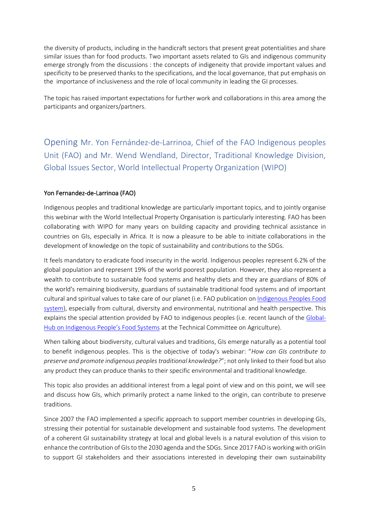the diversity of products, including in the handicraft sectors that present great potentialities and share similar issues than for food products. Two important assets related to GIs and indigenous community emerge strongly from the discussions : the concepts of indigeneity that provide important values and specificity to be preserved thanks to the specifications, and the local governance, that put emphasis on the importance of inclusiveness and the role of local community in leading the GI processes.

The topic has raised important expectations for further work and collaborations in this area among the participants and organizers/partners.

<span id="page-4-0"></span>Opening Mr. Yon Fernández-de-Larrinoa, Chief of the FAO Indigenous peoples Unit (FAO) and Mr. Wend Wendland, Director, Traditional Knowledge Division, Global Issues Sector, World Intellectual Property Organization (WIPO)

#### Yon Fernandez-de-Larrinoa (FAO)

Indigenous peoples and traditional knowledge are particularly important topics, and to jointly organise this webinar with the World Intellectual Property Organisation is particularly interesting. FAO has been collaborating with WIPO for many years on building capacity and providing technical assistance in countries on GIs, especially in Africa. It is now a pleasure to be able to initiate collaborations in the development of knowledge on the topic of sustainability and contributions to the SDGs.

It feels mandatory to eradicate food insecurity in the world. Indigenous peoples represent 6.2% of the global population and represent 19% of the world poorest population. However, they also represent a wealth to contribute to sustainable food systems and healthy diets and they are guardians of 80% of the world's remaining biodiversity, guardians of sustainable traditional food systems and of important cultural and spiritual values to take care of our planet (i.e. FAO publication on [Indigenous Peoples Food](http://www.fao.org/3/i0370e/i0370e00.htm)  [system\)](http://www.fao.org/3/i0370e/i0370e00.htm), especially from cultural, diversity and environmental, nutritional and health perspective. This explains the special attention provided by FAO to indigenous peoples (i.e. recent launch of th[e Global-](http://www.fao.org/indigenous-peoples/global-hub/en/)[Hub on Indigenous People's Food Systems](http://www.fao.org/indigenous-peoples/global-hub/en/) at the Technical Committee on Agriculture).

When talking about biodiversity, cultural values and traditions, GIs emerge naturally as a potential tool to benefit indigenous peoples. This is the objective of today's webinar: "*How can GIs contribute to preserve and promote indigenous peoples traditional knowledge?*"; not only linked to their food but also any product they can produce thanks to their specific environmental and traditional knowledge.

This topic also provides an additional interest from a legal point of view and on this point, we will see and discuss how GIs, which primarily protect a name linked to the origin, can contribute to preserve traditions.

Since 2007 the FAO implemented a specific approach to support member countries in developing GIs, stressing their potential for sustainable development and sustainable food systems. The development of a coherent GI sustainability strategy at local and global levels is a natural evolution of this vision to enhance the contribution of GIsto the 2030 agenda and the SDGs. Since 2017 FAO is working with oriGIn to support GI stakeholders and their associations interested in developing their own sustainability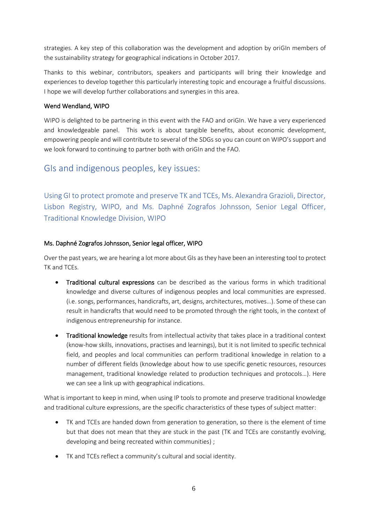strategies. A key step of this collaboration was the development and adoption by oriGIn members of the sustainability strategy for geographical indications in October 2017.

Thanks to this webinar, contributors, speakers and participants will bring their knowledge and experiences to develop together this particularly interesting topic and encourage a fruitful discussions. I hope we will develop further collaborations and synergies in this area.

#### Wend Wendland, WIPO

WIPO is delighted to be partnering in this event with the FAO and oriGIn. We have a very experienced and knowledgeable panel. This work is about tangible benefits, about economic development, empowering people and will contribute to several of the SDGs so you can count on WIPO's support and we look forward to continuing to partner both with oriGIn and the FAO.

## <span id="page-5-0"></span>GIs and indigenous peoples, key issues:

<span id="page-5-1"></span>Using GI to protect promote and preserve TK and TCEs, Ms. Alexandra Grazioli, Director, Lisbon Registry, WIPO, and Ms. Daphné Zografos Johnsson, Senior Legal Officer, Traditional Knowledge Division, WIPO

#### Ms. Daphné Zografos Johnsson, Senior legal officer, WIPO

Over the past years, we are hearing a lot more about GIs as they have been an interesting tool to protect TK and TCEs.

- Traditional cultural expressions can be described as the various forms in which traditional knowledge and diverse cultures of indigenous peoples and local communities are expressed. (i.e. songs, performances, handicrafts, art, designs, architectures, motives…). Some of these can result in handicrafts that would need to be promoted through the right tools, in the context of indigenous entrepreneurship for instance.
- Traditional knowledge results from intellectual activity that takes place in a traditional context (know-how skills, innovations, practises and learnings), but it is not limited to specific technical field, and peoples and local communities can perform traditional knowledge in relation to a number of different fields (knowledge about how to use specific genetic resources, resources management, traditional knowledge related to production techniques and protocols…). Here we can see a link up with geographical indications.

What is important to keep in mind, when using IP tools to promote and preserve traditional knowledge and traditional culture expressions, are the specific characteristics of these types of subject matter:

- TK and TCEs are handed down from generation to generation, so there is the element of time but that does not mean that they are stuck in the past (TK and TCEs are constantly evolving, developing and being recreated within communities) ;
- TK and TCEs reflect a community's cultural and social identity.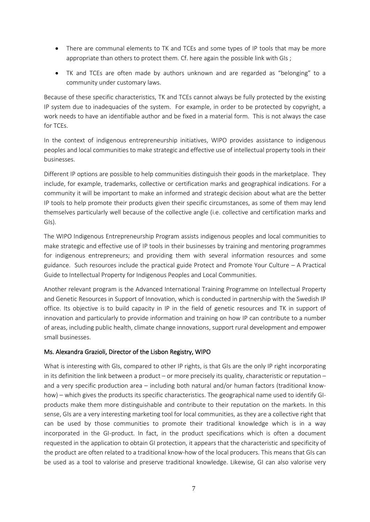- There are communal elements to TK and TCEs and some types of IP tools that may be more appropriate than others to protect them. Cf. here again the possible link with GIs;
- TK and TCEs are often made by authors unknown and are regarded as "belonging" to a community under customary laws.

Because of these specific characteristics, TK and TCEs cannot always be fully protected by the existing IP system due to inadequacies of the system. For example, in order to be protected by copyright, a work needs to have an identifiable author and be fixed in a material form. This is not always the case for TCEs.

In the context of indigenous entrepreneurship initiatives, WIPO provides assistance to indigenous peoples and local communities to make strategic and effective use of intellectual property tools in their businesses.

Different IP options are possible to help communities distinguish their goods in the marketplace. They include, for example, trademarks, collective or certification marks and geographical indications. For a community it will be important to make an informed and strategic decision about what are the better IP tools to help promote their products given their specific circumstances, as some of them may lend themselves particularly well because of the collective angle (i.e. collective and certification marks and GIs).

The WIPO Indigenous Entrepreneurship Program assists indigenous peoples and local communities to make strategic and effective use of IP tools in their businesses by training and mentoring programmes for indigenous entrepreneurs; and providing them with several information resources and some guidance. Such resources include the practical guide Protect and Promote Your Culture – A Practical Guide to Intellectual Property for Indigenous Peoples and Local Communities.

Another relevant program is the Advanced International Training Programme on Intellectual Property and Genetic Resources in Support of Innovation, which is conducted in partnership with the Swedish IP office. Its objective is to build capacity in IP in the field of genetic resources and TK in support of innovation and particularly to provide information and training on how IP can contribute to a number of areas, including public health, climate change innovations, support rural development and empower small businesses.

#### Ms. Alexandra Grazioli, Director of the Lisbon Registry, WIPO

What is interesting with GIs, compared to other IP rights, is that GIs are the only IP right incorporating in its definition the link between a product – or more precisely its quality, characteristic or reputation – and a very specific production area – including both natural and/or human factors (traditional knowhow) – which gives the products its specific characteristics. The geographical name used to identify GIproducts make them more distinguishable and contribute to their reputation on the markets. In this sense, GIs are a very interesting marketing tool for local communities, as they are a collective right that can be used by those communities to promote their traditional knowledge which is in a way incorporated in the GI-product. In fact, in the product specifications which is often a document requested in the application to obtain GI protection, it appears that the characteristic and specificity of the product are often related to a traditional know-how of the local producers. This means that GIs can be used as a tool to valorise and preserve traditional knowledge. Likewise, GI can also valorise very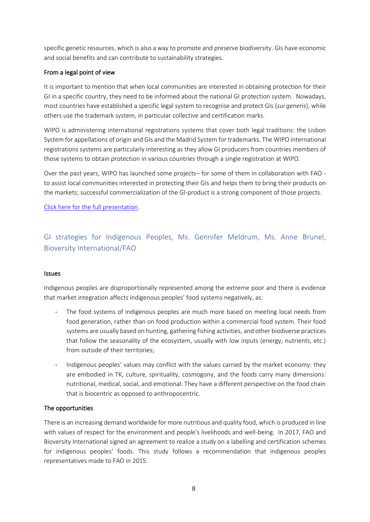specific genetic resources, which is also a way to promote and preserve biodiversity. GIs have economic and social benefits and can contribute to sustainability strategies.

#### From a legal point of view

It is important to mention that when local communities are interested in obtaining protection for their GI in a specific country, they need to be informed about the national GI protection system. Nowadays, most countries have established a specific legal system to recognise and protect GIs (*sui generis*), while others use the trademark system, in particular collective and certification marks.

WIPO is administering international registrations systems that cover both legal traditions: the Lisbon System for appellations of origin and GIs and the Madrid System for trademarks. The WIPO international registrations systems are particularly interesting as they allow GI producers from countries members of those systems to obtain protection in various countries through a single registration at WIPO.

Over the past years, WIPO has launched some projects– for some of them in collaboration with FAO to assist local communities interested in protecting their GIs and helps them to bring their products on the markets; successful commercialization of the GI-product is a strong component of those projects.

[Click here for the full presentation.](https://www.origin-gi.com/images/stories/PDFs/English/PPT/oriGIn-FAO_Series_of_webinars_2020-PPT/WIPO_TK-TCE-GIs_Nov-2020.pdf)

GI strategies for Indigenous Peoples, Ms. Gennifer Meldrum, Ms. Anne Brunel, Bioversity International/FAO

#### Issues

Indigenous peoples are disproportionally represented among the extreme poor and there is evidence that market integration affects indigenous peoples' food systems negatively, as:

- The food systems of indigenous peoples are much more based on meeting local needs from food generation, rather than on food production within a commercial food system. Their food systems are usually based on hunting, gathering fishing activities, and other biodiverse practices that follow the seasonality of the ecosystem, usually with low inputs (energy, nutrients, etc.) from outside of their territories;
- Indigenous peoples' values may conflict with the values carried by the market economy: they are embodied in TK, culture, spirituality, cosmogony, and the foods carry many dimensions: nutritional, medical, social, and emotional. They have a different perspective on the food chain that is biocentric as opposed to anthropocentric.

#### The opportunities

There is an increasing demand worldwide for more nutritious and quality food, which is produced in line with values of respect for the environment and people's livelihoods and well-being. In 2017, FAO and Bioversity International signed an agreement to realize a study on a labelling and certification schemes for indigenous peoples' foods. This study follows a recommendation that indigenous peoples representatives made to FAO in 2015.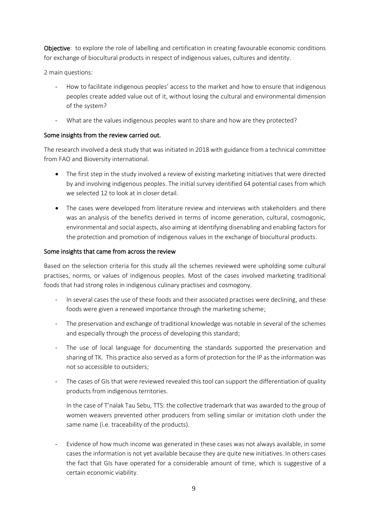Objective: to explore the role of labelling and certification in creating favourable economic conditions for exchange of biocultural products in respect of indigenous values, cultures and identity.

2 main questions:

- How to facilitate indigenous peoples' access to the market and how to ensure that indigenous peoples create added value out of it, without losing the cultural and environmental dimension of the system?
- What are the values indigenous peoples want to share and how are they protected?

#### Some insights from the review carried out.

The research involved a desk study that was initiated in 2018 with guidance from a technical committee from FAO and Bioversity international.

- The first step in the study involved a review of existing marketing initiatives that were directed by and involving indigenous peoples. The initial survey identified 64 potential cases from which we selected 12 to look at in closer detail.
- The cases were developed from literature review and interviews with stakeholders and there was an analysis of the benefits derived in terms of income generation, cultural, cosmogonic, environmental and social aspects, also aiming at identifying disenabling and enabling factors for the protection and promotion of indigenous values in the exchange of biocultural products.

#### Some insights that came from across the review

Based on the selection criteria for this study all the schemes reviewed were upholding some cultural practises, norms, or values of indigenous peoples. Most of the cases involved marketing traditional foods that had strong roles in indigenous culinary practises and cosmogony.

- In several cases the use of these foods and their associated practises were declining, and these foods were given a renewed importance through the marketing scheme;
- The preservation and exchange of traditional knowledge was notable in several of the schemes and especially through the process of developing this standard;
- The use of local language for documenting the standards supported the preservation and sharing of TK. This practice also served as a form of protection for the IP as the information was not so accessible to outsiders;
- The cases of GIs that were reviewed revealed this tool can support the differentiation of quality products from indigenous territories.

In the case of T'nalak Tau Sebu, TTS: the collective trademark that was awarded to the group of women weavers prevented other producers from selling similar or imitation cloth under the same name (i.e. traceability of the products).

- Evidence of how much income was generated in these cases was not always available, in some cases the information is not yet available because they are quite new initiatives. In others cases the fact that GIs have operated for a considerable amount of time, which is suggestive of a certain economic viability.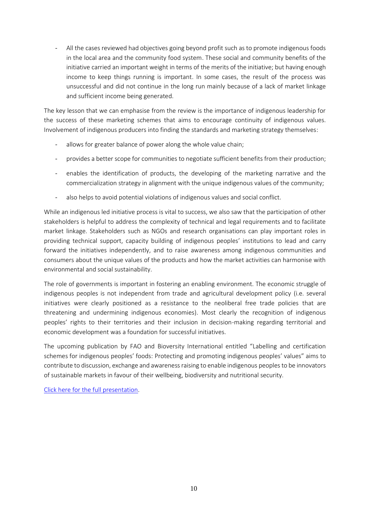All the cases reviewed had objectives going beyond profit such as to promote indigenous foods in the local area and the community food system. These social and community benefits of the initiative carried an important weight in terms of the merits of the initiative; but having enough income to keep things running is important. In some cases, the result of the process was unsuccessful and did not continue in the long run mainly because of a lack of market linkage and sufficient income being generated.

The key lesson that we can emphasise from the review is the importance of indigenous leadership for the success of these marketing schemes that aims to encourage continuity of indigenous values. Involvement of indigenous producers into finding the standards and marketing strategy themselves:

- allows for greater balance of power along the whole value chain;
- provides a better scope for communities to negotiate sufficient benefits from their production;
- enables the identification of products, the developing of the marketing narrative and the commercialization strategy in alignment with the unique indigenous values of the community;
- also helps to avoid potential violations of indigenous values and social conflict.

While an indigenous led initiative process is vital to success, we also saw that the participation of other stakeholders is helpful to address the complexity of technical and legal requirements and to facilitate market linkage. Stakeholders such as NGOs and research organisations can play important roles in providing technical support, capacity building of indigenous peoples' institutions to lead and carry forward the initiatives independently, and to raise awareness among indigenous communities and consumers about the unique values of the products and how the market activities can harmonise with environmental and social sustainability.

The role of governments is important in fostering an enabling environment. The economic struggle of indigenous peoples is not independent from trade and agricultural development policy (i.e. several initiatives were clearly positioned as a resistance to the neoliberal free trade policies that are threatening and undermining indigenous economies). Most clearly the recognition of indigenous peoples' rights to their territories and their inclusion in decision-making regarding territorial and economic development was a foundation for successful initiatives.

The upcoming publication by FAO and Bioversity International entitled "Labelling and certification schemes for indigenous peoples' foods: Protecting and promoting indigenous peoples' values" aims to contribute to discussion, exchange and awareness raising to enable indigenous peoples to be innovators of sustainable markets in favour of their wellbeing, biodiversity and nutritional security.

[Click here for the full presentation.](file:///C:/Users/emili/Documents/Documents/Documents/2-ESN-ESN-ESN-ESN/GI%20SUSTAINABILITY/GENEVA2020-biannual%20conference/reports/FAO_Presentation_GI_and_Indigenous_Peoples_Nov24_1)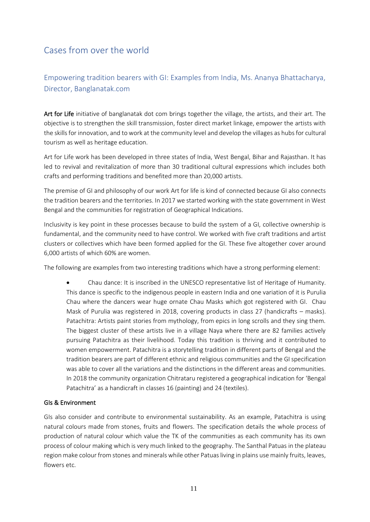## <span id="page-10-0"></span>Cases from over the world

## <span id="page-10-1"></span>Empowering tradition bearers with GI: Examples from India, Ms. Ananya Bhattacharya, Director, Banglanatak.com

Art for Life initiative of banglanatak dot com brings together the village, the artists, and their art. The objective is to strengthen the skill transmission, foster direct market linkage, empower the artists with the skills for innovation, and to work at the community level and develop the villages as hubs for cultural tourism as well as heritage education.

Art for Life work has been developed in three states of India, West Bengal, Bihar and Rajasthan. It has led to revival and revitalization of more than 30 traditional cultural expressions which includes both crafts and performing traditions and benefited more than 20,000 artists.

The premise of GI and philosophy of our work Art for life is kind of connected because GI also connects the tradition bearers and the territories. In 2017 we started working with the state government in West Bengal and the communities for registration of Geographical Indications.

Inclusivity is key point in these processes because to build the system of a GI, collective ownership is fundamental, and the community need to have control. We worked with five craft traditions and artist clusters or collectives which have been formed applied for the GI. These five altogether cover around 6,000 artists of which 60% are women.

The following are examples from two interesting traditions which have a strong performing element:

• Chau dance: It is inscribed in the UNESCO representative list of Heritage of Humanity. This dance is specific to the indigenous people in eastern India and one variation of it is Purulia Chau where the dancers wear huge ornate Chau Masks which got registered with GI. Chau Mask of Purulia was registered in 2018, covering products in class 27 (handicrafts – masks). Patachitra: Artists paint stories from mythology, from epics in long scrolls and they sing them. The biggest cluster of these artists live in a village Naya where there are 82 families actively pursuing Patachitra as their livelihood. Today this tradition is thriving and it contributed to women empowerment. Patachitra is a storytelling tradition in different parts of Bengal and the tradition bearers are part of different ethnic and religious communities and the GI specification was able to cover all the variations and the distinctions in the different areas and communities. In 2018 the community organization Chitrataru registered a geographical indication for 'Bengal Patachitra' as a handicraft in classes 16 (painting) and 24 (textiles).

#### GIs & Environment

GIs also consider and contribute to environmental sustainability. As an example, Patachitra is using natural colours made from stones, fruits and flowers. The specification details the whole process of production of natural colour which value the TK of the communities as each community has its own process of colour making which is very much linked to the geography. The Santhal Patuas in the plateau region make colour from stones and minerals while other Patuas living in plains use mainly fruits, leaves, flowers etc.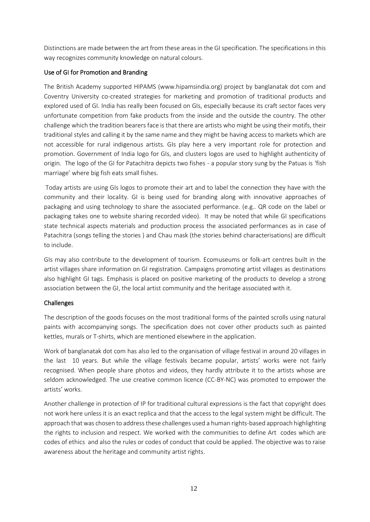Distinctions are made between the art from these areas in the GI specification. The specifications in this way recognizes community knowledge on natural colours.

#### Use of GI for Promotion and Branding

The British Academy supported HIPAMS (www.hipamsindia.org) project by banglanatak dot com and Coventry University co-created strategies for marketing and promotion of traditional products and explored used of GI. India has really been focused on GIs, especially because its craft sector faces very unfortunate competition from fake products from the inside and the outside the country. The other challenge which the tradition bearers face is that there are artists who might be using their motifs, their traditional styles and calling it by the same name and they might be having access to markets which are not accessible for rural indigenous artists. GIs play here a very important role for protection and promotion. Government of India logo for GIs, and clusters logos are used to highlight authenticity of origin. The logo of the GI for Patachitra depicts two fishes - a popular story sung by the Patuas is 'fish marriage' where big fish eats small fishes.

Today artists are using GIs logos to promote their art and to label the connection they have with the community and their locality. GI is being used for branding along with innovative approaches of packaging and using technology to share the associated performance. (e.g.. QR code on the label or packaging takes one to website sharing recorded video). It may be noted that while GI specifications state technical aspects materials and production process the associated performances as in case of Patachitra (songs telling the stories ) and Chau mask (the stories behind characterisations) are difficult to include.

GIs may also contribute to the development of tourism. Ecomuseums or folk-art centres built in the artist villages share information on GI registration. Campaigns promoting artist villages as destinations also highlight GI tags. Emphasis is placed on positive marketing of the products to develop a strong association between the GI, the local artist community and the heritage associated with it.

#### Challenges

The description of the goods focuses on the most traditional forms of the painted scrolls using natural paints with accompanying songs. The specification does not cover other products such as painted kettles, murals or T-shirts, which are mentioned elsewhere in the application.

Work of banglanatak dot com has also led to the organisation of village festival in around 20 villages in the last 10 years. But while the village festivals became popular, artists' works were not fairly recognised. When people share photos and videos, they hardly attribute it to the artists whose are seldom acknowledged. The use creative common licence (CC-BY-NC) was promoted to empower the artists' works.

Another challenge in protection of IP for traditional cultural expressions is the fact that copyright does not work here unless it is an exact replica and that the access to the legal system might be difficult. The approach that was chosen to address these challenges used a human rights-based approach highlighting the rights to inclusion and respect. We worked with the communities to define Art codes which are codes of ethics and also the rules or codes of conduct that could be applied. The objective was to raise awareness about the heritage and community artist rights.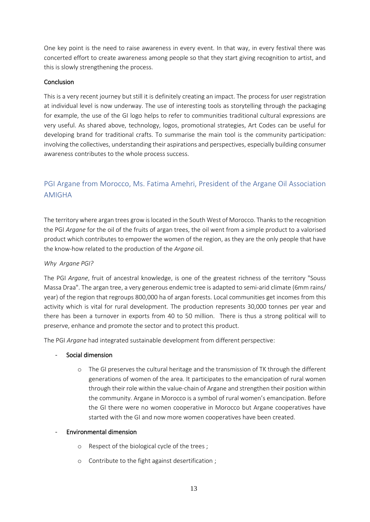One key point is the need to raise awareness in every event. In that way, in every festival there was concerted effort to create awareness among people so that they start giving recognition to artist, and this is slowly strengthening the process.

#### Conclusion

This is a very recent journey but still it is definitely creating an impact. The process for user registration at individual level is now underway. The use of interesting tools as storytelling through the packaging for example, the use of the GI logo helps to refer to communities traditional cultural expressions are very useful. As shared above, technology, logos, promotional strategies, Art Codes can be useful for developing brand for traditional crafts. To summarise the main tool is the community participation: involving the collectives, understanding their aspirations and perspectives, especially building consumer awareness contributes to the whole process success.

### <span id="page-12-0"></span>PGI Argane from Morocco, Ms. Fatima Amehri, President of the Argane Oil Association AMIGHA

The territory where argan trees grow is located in the South West of Morocco. Thanks to the recognition the PGI *Argane* for the oil of the fruits of argan trees, the oil went from a simple product to a valorised product which contributes to empower the women of the region, as they are the only people that have the know-how related to the production of the *Argane* oil.

#### *Why Argane PGI?*

The PGI *Argane*, fruit of ancestral knowledge, is one of the greatest richness of the territory "Souss Massa Draa". The argan tree, a very generous endemic tree is adapted to semi-arid climate (6mm rains/ year) of the region that regroups 800,000 ha of argan forests. Local communities get incomes from this activity which is vital for rural development. The production represents 30,000 tonnes per year and there has been a turnover in exports from 40 to 50 million. There is thus a strong political will to preserve, enhance and promote the sector and to protect this product.

The PGI *Argane* had integrated sustainable development from different perspective:

- Social dimension
	- o The GI preserves the cultural heritage and the transmission of TK through the different generations of women of the area. It participates to the emancipation of rural women through their role within the value-chain of Argane and strengthen their position within the community. Argane in Morocco is a symbol of rural women's emancipation. Before the GI there were no women cooperative in Morocco but Argane cooperatives have started with the GI and now more women cooperatives have been created.

#### - Environmental dimension

- o Respect of the biological cycle of the trees ;
- o Contribute to the fight against desertification ;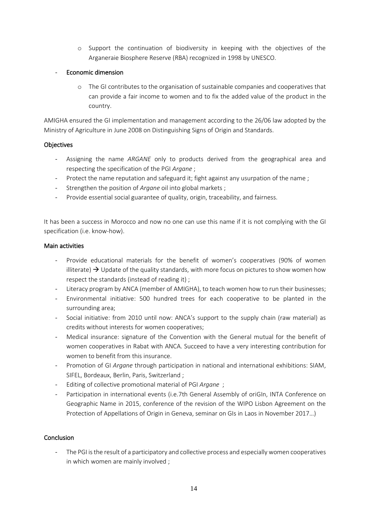- o Support the continuation of biodiversity in keeping with the objectives of the Arganeraie Biosphere Reserve (RBA) recognized in 1998 by UNESCO.
- Economic dimension
	- o The GI contributes to the organisation of sustainable companies and cooperatives that can provide a fair income to women and to fix the added value of the product in the country.

AMIGHA ensured the GI implementation and management according to the 26/06 law adopted by the Ministry of Agriculture in June 2008 on Distinguishing Signs of Origin and Standards.

#### **Objectives**

- Assigning the name *ARGANE* only to products derived from the geographical area and respecting the specification of the PGI *Argane* ;
- Protect the name reputation and safeguard it; fight against any usurpation of the name ;
- Strengthen the position of *Argane* oil into global markets ;
- Provide essential social guarantee of quality, origin, traceability, and fairness.

It has been a success in Morocco and now no one can use this name if it is not complying with the GI specification (i.e. know-how).

#### Main activities

- Provide educational materials for the benefit of women's cooperatives (90% of women illiterate)  $\rightarrow$  Update of the quality standards, with more focus on pictures to show women how respect the standards (instead of reading it) ;
- Literacy program by ANCA (member of AMIGHA), to teach women how to run their businesses;
- Environmental initiative: 500 hundred trees for each cooperative to be planted in the surrounding area;
- Social initiative: from 2010 until now: ANCA's support to the supply chain (raw material) as credits without interests for women cooperatives;
- Medical insurance: signature of the Convention with the General mutual for the benefit of women cooperatives in Rabat with ANCA. Succeed to have a very interesting contribution for women to benefit from this insurance.
- Promotion of GI *Argane* through participation in national and international exhibitions: SIAM, SIFEL, Bordeaux, Berlin, Paris, Switzerland ;
- Editing of collective promotional material of PGI *Argane* ;
- Participation in international events (i.e.7th General Assembly of oriGIn, INTA Conference on Geographic Name in 2015, conference of the revision of the WIPO Lisbon Agreement on the Protection of Appellations of Origin in Geneva, seminar on GIs in Laos in November 2017…)

#### **Conclusion**

- The PGI is the result of a participatory and collective process and especially women cooperatives in which women are mainly involved ;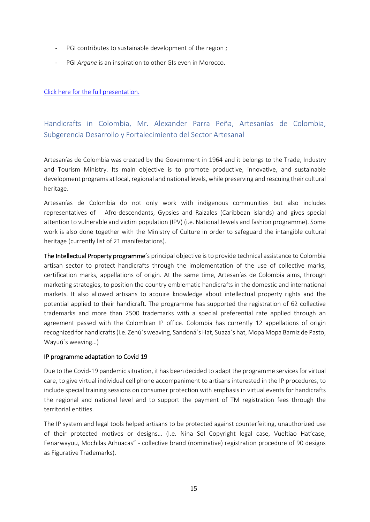- PGI contributes to sustainable development of the region ;
- PGI *Argane* is an inspiration to other GIs even in Morocco.

[Click here for the full presentation.](https://www.origin-gi.com/images/stories/PDFs/English/PPT/oriGIn-FAO_Series_of_webinars_2020-PPT/Pr%C3%A9sentation_AMIGHA_NOVEMBER__24th_2020_1.pdf)

### <span id="page-14-0"></span>Handicrafts in Colombia, Mr. Alexander Parra Peña, Artesanías de Colombia, Subgerencia Desarrollo y Fortalecimiento del Sector Artesanal

Artesanías de Colombia was created by the Government in 1964 and it belongs to the Trade, Industry and Tourism Ministry. Its main objective is to promote productive, innovative, and sustainable development programs at local, regional and national levels, while preserving and rescuing their cultural heritage.

Artesanías de Colombia do not only work with indigenous communities but also includes representatives of Afro-descendants, Gypsies and Raizales (Caribbean islands) and gives special attention to vulnerable and victim population (IPV) (i.e. National Jewels and fashion programme). Some work is also done together with the Ministry of Culture in order to safeguard the intangible cultural heritage (currently list of 21 manifestations).

The Intellectual Property programme's principal objective is to provide technical assistance to Colombia artisan sector to protect handicrafts through the implementation of the use of collective marks, certification marks, appellations of origin. At the same time, Artesanías de Colombia aims, through marketing strategies, to position the country emblematic handicrafts in the domestic and international markets. It also allowed artisans to acquire knowledge about intellectual property rights and the potential applied to their handicraft. The programme has supported the registration of 62 collective trademarks and more than 2500 trademarks with a special preferential rate applied through an agreement passed with the Colombian IP office. Colombia has currently 12 appellations of origin recognized for handicrafts(i.e. Zenú´s weaving, Sandoná´s Hat, Suaza´s hat, Mopa Mopa Barniz de Pasto, Wayuú´s weaving…)

#### IP programme adaptation to Covid 19

Due to the Covid-19 pandemic situation, it has been decided to adapt the programme services for virtual care, to give virtual individual cell phone accompaniment to artisans interested in the IP procedures, to include special training sessions on consumer protection with emphasis in virtual events for handicrafts the regional and national level and to support the payment of TM registration fees through the territorial entities.

The IP system and legal tools helped artisans to be protected against counterfeiting, unauthorized use of their protected motives or designs… (I.e. Nina Sol Copyright legal case, Vueltiao Hat'case, Fenarwayuu, Mochilas Arhuacas" - collective brand (nominative) registration procedure of 90 designs as Figurative Trademarks).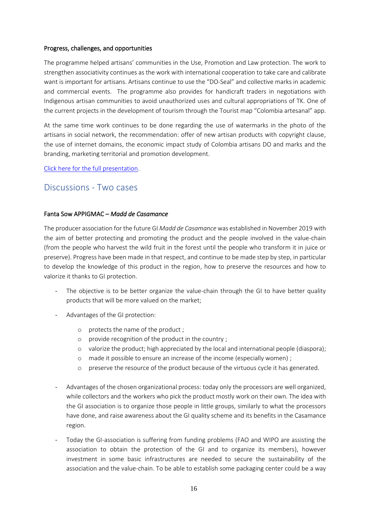#### Progress, challenges, and opportunities

The programme helped artisans' communities in the Use, Promotion and Law protection. The work to strengthen associativity continues as the work with international cooperation to take care and calibrate want is important for artisans. Artisans continue to use the "DO-Seal" and collective marks in academic and commercial events. The programme also provides for handicraft traders in negotiations with Indigenous artisan communities to avoid unauthorized uses and cultural appropriations of TK. One of the current projects in the development of tourism through the Tourist map "Colombia artesanal" app.

At the same time work continues to be done regarding the use of watermarks in the photo of the artisans in social network, the recommendation: offer of new artisan products with copyright clause, the use of internet domains, the economic impact study of Colombia artisans DO and marks and the branding, marketing territorial and promotion development.

[Click here for the full presentation.](https://www.origin-gi.com/images/stories/PDFs/English/PPT/oriGIn-FAO_Series_of_webinars_2020-PPT/Alexander_Parra_PI-_AdC_Origin20.pdf)

### <span id="page-15-0"></span>Discussions - Two cases

#### Fanta Sow APPIGMAC – *Madd de Casamance*

The producer association for the future GI *Madd de Casamance* was established in November 2019 with the aim of better protecting and promoting the product and the people involved in the value-chain (from the people who harvest the wild fruit in the forest until the people who transform it in juice or preserve). Progress have been made in that respect, and continue to be made step by step, in particular to develop the knowledge of this product in the region, how to preserve the resources and how to valorize it thanks to GI protection.

- The objective is to be better organize the value-chain through the GI to have better quality products that will be more valued on the market;
- Advantages of the GI protection:
	- o protects the name of the product ;
	- o provide recognition of the product in the country ;
	- o valorize the product; high appreciated by the local and international people (diaspora);
	- o made it possible to ensure an increase of the income (especially women) ;
	- o preserve the resource of the product because of the virtuous cycle it has generated.
- Advantages of the chosen organizational process: today only the processors are well organized, while collectors and the workers who pick the product mostly work on their own. The idea with the GI association is to organize those people in little groups, similarly to what the processors have done, and raise awareness about the GI quality scheme and its benefits in the Casamance region.
- Today the GI-association is suffering from funding problems (FAO and WIPO are assisting the association to obtain the protection of the GI and to organize its members), however investment in some basic infrastructures are needed to secure the sustainability of the association and the value-chain. To be able to establish some packaging center could be a way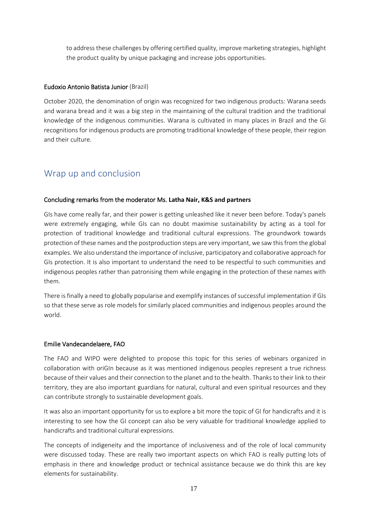to address these challenges by offering certified quality, improve marketing strategies, highlight the product quality by unique packaging and increase jobs opportunities.

#### Eudoxio Antonio Batista Junior (Brazil)

October 2020, the denomination of origin was recognized for two indigenous products: Warana seeds and warana bread and it was a big step in the maintaining of the cultural tradition and the traditional knowledge of the indigenous communities. Warana is cultivated in many places in Brazil and the GI recognitions for indigenous products are promoting traditional knowledge of these people, their region and their culture.

## <span id="page-16-0"></span>Wrap up and conclusion

#### Concluding remarks from the moderator Ms. **Latha Nair, K&S and partners**

GIs have come really far, and their power is getting unleashed like it never been before. Today's panels were extremely engaging, while GIs can no doubt maximise sustainability by acting as a tool for protection of traditional knowledge and traditional cultural expressions. The groundwork towards protection of these names and the postproduction steps are very important, we saw this from the global examples. We also understand the importance of inclusive, participatory and collaborative approach for GIs protection. It is also important to understand the need to be respectful to such communities and indigenous peoples rather than patronising them while engaging in the protection of these names with them.

There is finally a need to globally popularise and exemplify instances of successful implementation if GIs so that these serve as role models for similarly placed communities and indigenous peoples around the world.

#### Emilie Vandecandelaere, FAO

The FAO and WIPO were delighted to propose this topic for this series of webinars organized in collaboration with oriGIn because as it was mentioned indigenous peoples represent a true richness because of their values and their connection to the planet and to the health. Thanks to their link to their territory, they are also important guardians for natural, cultural and even spiritual resources and they can contribute strongly to sustainable development goals.

It was also an important opportunity for us to explore a bit more the topic of GI for handicrafts and it is interesting to see how the GI concept can also be very valuable for traditional knowledge applied to handicrafts and traditional cultural expressions.

The concepts of indigeneity and the importance of inclusiveness and of the role of local community were discussed today. These are really two important aspects on which FAO is really putting lots of emphasis in there and knowledge product or technical assistance because we do think this are key elements for sustainability.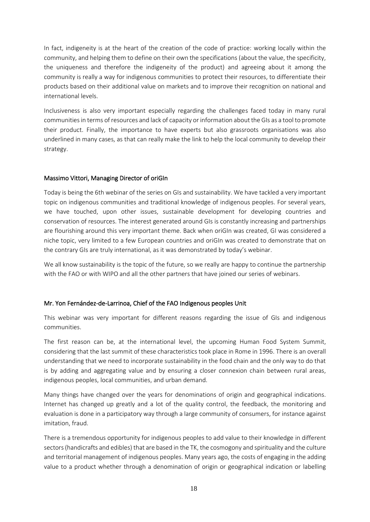In fact, indigeneity is at the heart of the creation of the code of practice: working locally within the community, and helping them to define on their own the specifications (about the value, the specificity, the uniqueness and therefore the indigeneity of the product) and agreeing about it among the community is really a way for indigenous communities to protect their resources, to differentiate their products based on their additional value on markets and to improve their recognition on national and international levels.

Inclusiveness is also very important especially regarding the challenges faced today in many rural communities in terms of resources and lack of capacity or information about the GIs as a tool to promote their product. Finally, the importance to have experts but also grassroots organisations was also underlined in many cases, as that can really make the link to help the local community to develop their strategy.

#### Massimo Vittori, Managing Director of oriGIn

Today is being the 6th webinar of the series on GIs and sustainability. We have tackled a very important topic on indigenous communities and traditional knowledge of indigenous peoples. For several years, we have touched, upon other issues, sustainable development for developing countries and conservation of resources. The interest generated around GIs is constantly increasing and partnerships are flourishing around this very important theme. Back when oriGIn was created, GI was considered a niche topic, very limited to a few European countries and oriGIn was created to demonstrate that on the contrary GIs are truly international, as it was demonstrated by today's webinar.

We all know sustainability is the topic of the future, so we really are happy to continue the partnership with the FAO or with WIPO and all the other partners that have joined our series of webinars.

#### Mr. Yon Fernández-de-Larrinoa, Chief of the FAO Indigenous peoples Unit

This webinar was very important for different reasons regarding the issue of GIs and indigenous communities.

The first reason can be, at the international level, the upcoming Human Food System Summit, considering that the last summit of these characteristics took place in Rome in 1996. There is an overall understanding that we need to incorporate sustainability in the food chain and the only way to do that is by adding and aggregating value and by ensuring a closer connexion chain between rural areas, indigenous peoples, local communities, and urban demand.

Many things have changed over the years for denominations of origin and geographical indications. Internet has changed up greatly and a lot of the quality control, the feedback, the monitoring and evaluation is done in a participatory way through a large community of consumers, for instance against imitation, fraud.

There is a tremendous opportunity for indigenous peoples to add value to their knowledge in different sectors(handicrafts and edibles) that are based in the TK, the cosmogony and spirituality and the culture and territorial management of indigenous peoples. Many years ago, the costs of engaging in the adding value to a product whether through a denomination of origin or geographical indication or labelling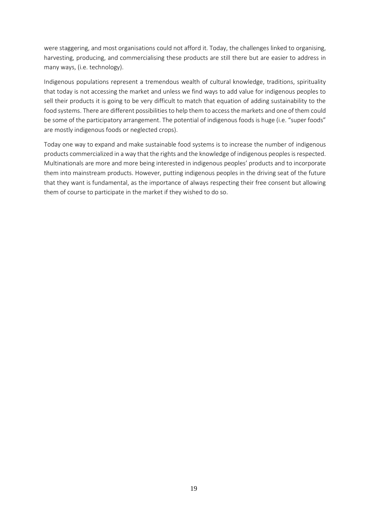were staggering, and most organisations could not afford it. Today, the challenges linked to organising, harvesting, producing, and commercialising these products are still there but are easier to address in many ways, (i.e. technology).

Indigenous populations represent a tremendous wealth of cultural knowledge, traditions, spirituality that today is not accessing the market and unless we find ways to add value for indigenous peoples to sell their products it is going to be very difficult to match that equation of adding sustainability to the food systems. There are different possibilities to help them to access the markets and one of them could be some of the participatory arrangement. The potential of indigenous foods is huge (i.e. "super foods" are mostly indigenous foods or neglected crops).

Today one way to expand and make sustainable food systems is to increase the number of indigenous products commercialized in a way that the rights and the knowledge of indigenous peoples is respected. Multinationals are more and more being interested in indigenous peoples' products and to incorporate them into mainstream products. However, putting indigenous peoples in the driving seat of the future that they want is fundamental, as the importance of always respecting their free consent but allowing them of course to participate in the market if they wished to do so.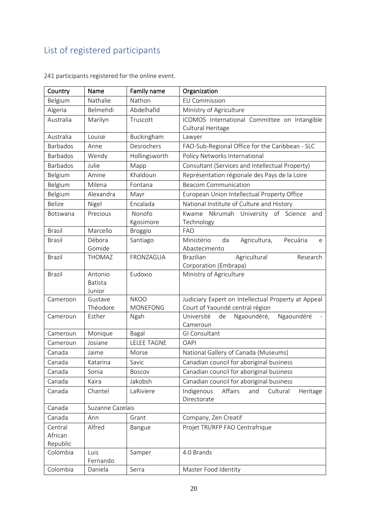## <span id="page-19-0"></span>List of registered participants

| Country                        | Name                                | Family name                    | Organization                                                                           |
|--------------------------------|-------------------------------------|--------------------------------|----------------------------------------------------------------------------------------|
| Belgium                        | Nathalie                            | Nathon                         | <b>EU Commission</b>                                                                   |
| Algeria                        | Belmehdi                            | Abdelhafid                     | Ministry of Agriculture                                                                |
| Australia                      | Marilyn                             | Truscott                       | ICOMOS International Committee on Intangible<br>Cultural Heritage                      |
| Australia                      | Louise                              | Buckingham                     | Lawyer                                                                                 |
| <b>Barbados</b>                | Anne                                | Desrochers                     | FAO-Sub-Regional Office for the Caribbean - SLC                                        |
| <b>Barbados</b>                | Wendy                               | Hollingsworth                  | Policy Networks International                                                          |
| <b>Barbados</b>                | Julie                               | Mapp                           | Consultant (Services and Intellectual Property)                                        |
| Belgium                        | Amine                               | Khaldoun                       | Représentation régionale des Pays de la Loire                                          |
| Belgium                        | Milena                              | Fontana                        | <b>Beacom Communication</b>                                                            |
| Belgium                        | Alexandra                           | Mayr                           | European Union Intellectual Property Office                                            |
| <b>Belize</b>                  | Nigel                               | Encalada                       | National Institute of Culture and History                                              |
| Botswana                       | Precious                            | Nonofo<br>Kgosimore            | Nkrumah University of Science<br>Kwame<br>and<br>Technology                            |
| <b>Brasil</b>                  | Marcello                            | <b>Broggio</b>                 | <b>FAO</b>                                                                             |
| <b>Brasil</b>                  | Débora<br>Gomide                    | Santiago                       | Ministério<br>Agricultura,<br>Pecuária<br>da<br>e<br>Abastecimento                     |
| <b>Brazil</b>                  | <b>THOMAZ</b>                       | FRONZAGLIA                     | <b>Brazilian</b><br>Agricultural<br>Research<br>Corporation (Embrapa)                  |
| <b>Brazil</b>                  | Antonio<br><b>Batista</b><br>Junior | Eudoxio                        | Ministry of Agriculture                                                                |
| Cameroon                       | Gustave<br>Théodore                 | <b>NKOO</b><br><b>MONEFONG</b> | Judiciary Expert on Intellectual Property at Appeal<br>Court of Yaoundé central région |
| Cameroun                       | Esther                              | Ngah                           | Ngaoundéré<br>Université<br>Ngaoundéré,<br>de<br>Cameroun                              |
| Cameroun                       | Monique                             | Bagal                          | GI Consultant                                                                          |
| Cameroun                       | Josiane                             | <b>LELEE TAGNE</b>             | <b>OAPI</b>                                                                            |
| Canada                         | Jaime                               | Morse                          | National Gallery of Canada (Museums)                                                   |
| Canada                         | Katarina                            | Savic                          | Canadian council for aboriginal business                                               |
| Canada                         | Sonia                               | Boscov                         | Canadian council for aboriginal business                                               |
| Canada                         | Kaira                               | Jakobsh                        | Canadian council for aboriginal business                                               |
| Canada                         | Chantel                             | LaRiviere                      | Indigenous<br>Affairs<br>Cultural<br>and<br>Heritage<br>Directorate                    |
| Canada                         | Suzanne Cazelais                    |                                |                                                                                        |
| Canada                         | Ann                                 | Grant                          | Company, Zen Creatif                                                                   |
| Central<br>African<br>Republic | Alfred                              | Bangue                         | Projet TRI/RFP FAO Centrafrique                                                        |
| Colombia                       | Luis<br>Fernando                    | Samper                         | 4.0 Brands                                                                             |
| Colombia                       | Daniela                             | Serra                          | Master Food Identity                                                                   |

241 participants registered for the online event.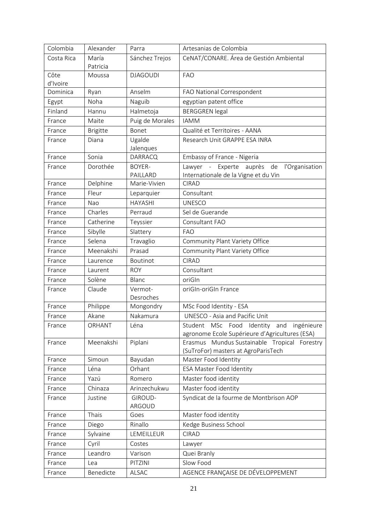| Colombia   | Alexander       | Parra                        | Artesanias de Colombia                                                                     |
|------------|-----------------|------------------------------|--------------------------------------------------------------------------------------------|
| Costa Rica | María           | Sánchez Trejos               | CeNAT/CONARE. Área de Gestión Ambiental                                                    |
|            | Patricia        |                              |                                                                                            |
| Côte       | Moussa          | <b>DJAGOUDI</b>              | <b>FAO</b>                                                                                 |
| d'Ivoire   |                 |                              |                                                                                            |
| Dominica   | Ryan            | Anselm                       | FAO National Correspondent                                                                 |
| Egypt      | Noha            | Naguib                       | egyptian patent office                                                                     |
| Finland    | Hannu           | Halmetoja                    | <b>BERGGREN</b> legal                                                                      |
| France     | Maite           | Puig de Morales              | <b>IAMM</b>                                                                                |
| France     | <b>Brigitte</b> | Bonet                        | Qualité et Territoires - AANA                                                              |
| France     | Diana           | Ugalde                       | Research Unit GRAPPE ESA INRA                                                              |
|            |                 | Jalenques                    |                                                                                            |
| France     | Sonia           | <b>DARRACQ</b>               | Embassy of France - Nigeria                                                                |
| France     | Dorothée        | <b>BOYER-</b>                | Lawyer - Experte auprès<br>l'Organisation<br>de                                            |
| France     | Delphine        | PAILLARD<br>Marie-Vivien     | Internationale de la Vigne et du Vin<br><b>CIRAD</b>                                       |
|            | Fleur           |                              |                                                                                            |
| France     |                 | Leparquier<br><b>HAYASHI</b> | Consultant                                                                                 |
| France     | Nao             |                              | <b>UNESCO</b>                                                                              |
| France     | Charles         | Perraud                      | Sel de Guerande                                                                            |
| France     | Catherine       | Teyssier                     | Consultant FAO                                                                             |
| France     | Sibylle         | Slattery                     | <b>FAO</b>                                                                                 |
| France     | Selena          | Travaglio                    | Community Plant Variety Office                                                             |
| France     | Meenakshi       | Prasad                       | Community Plant Variety Office                                                             |
| France     | Laurence        | Boutinot                     | <b>CIRAD</b>                                                                               |
| France     | Laurent         | <b>ROY</b>                   | Consultant                                                                                 |
| France     | Solène          | Blanc                        | oriGIn                                                                                     |
| France     | Claude          | Vermot-                      | oriGIn-oriGIn France                                                                       |
|            |                 | Desroches                    |                                                                                            |
| France     | Philippe        | Mongondry                    | MSc Food Identity - ESA                                                                    |
| France     | Akane           | Nakamura                     | UNESCO - Asia and Pacific Unit                                                             |
| France     | ORHANT          | Léna                         | Student MSc Food Identity and ingénieure<br>agronome Ecole Supérieure d'Agricultures (ESA) |
| France     | Meenakshi       | Piplani                      | Erasmus Mundus Sustainable Tropical Forestry                                               |
|            |                 |                              | (SuTroFor) masters at AgroParisTech                                                        |
| France     | Simoun          | Bayudan                      | Master Food Identity                                                                       |
| France     | Léna            | Orhant                       | <b>ESA Master Food Identity</b>                                                            |
| France     | Yazú            | Romero                       | Master food identity                                                                       |
| France     | Chinaza         | Arinzechukwu                 | Master food identity                                                                       |
| France     | Justine         | GIROUD-                      | Syndicat de la fourme de Montbrison AOP                                                    |
|            |                 | ARGOUD                       |                                                                                            |
| France     | Thais           | Goes                         | Master food identity                                                                       |
| France     | Diego           | Rinallo                      | Kedge Business School                                                                      |
| France     | Sylvaine        | LEMEILLEUR                   | <b>CIRAD</b>                                                                               |
| France     | Cyril           | Costes                       | Lawyer                                                                                     |
| France     | Leandro         | Varison                      | Quei Branly                                                                                |
| France     | Lea             | PITZINI                      | Slow Food                                                                                  |
| France     | Benedicte       | ALSAC                        | AGENCE FRANÇAISE DE DÉVELOPPEMENT                                                          |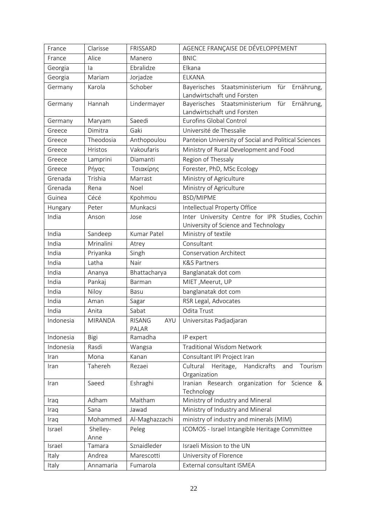| France    | Clarisse         | FRISSARD               | AGENCE FRANÇAISE DE DÉVELOPPEMENT                                                       |
|-----------|------------------|------------------------|-----------------------------------------------------------------------------------------|
| France    | Alice            | Manero                 | <b>BNIC</b>                                                                             |
| Georgia   | la               | Ebralidze              | Elkana                                                                                  |
| Georgia   | Mariam           | Jorjadze               | <b>ELKANA</b>                                                                           |
| Germany   | Karola           | Schober                | Bayerisches Staatsministerium<br>für<br>Ernährung,<br>Landwirtschaft und Forsten        |
| Germany   | Hannah           | Lindermayer            | Bayerisches Staatsministerium<br>für<br>Ernährung,<br>Landwirtschaft und Forsten        |
| Germany   | Maryam           | Saeedi                 | Eurofins Global Control                                                                 |
| Greece    | Dimitra          | Gaki                   | Université de Thessalie                                                                 |
| Greece    | Theodosia        | Anthopoulou            | Panteion University of Social and Political Sciences                                    |
| Greece    | Hristos          | Vakoufaris             | Ministry of Rural Development and Food                                                  |
| Greece    | Lamprini         | Diamanti               | Region of Thessaly                                                                      |
| Greece    | Ρήγας            | Τσιακίρης              | Forester, PhD, MSc Ecology                                                              |
| Grenada   | Trishia          | Marrast                | Ministry of Agriculture                                                                 |
| Grenada   | Rena             | Noel                   | Ministry of Agriculture                                                                 |
| Guinea    | Cécé             | Kpohmou                | BSD/MIPME                                                                               |
| Hungary   | Peter            | Munkacsi               | Intellectual Property Office                                                            |
| India     | Anson            | Jose                   | Inter University Centre for IPR Studies, Cochin<br>University of Science and Technology |
| India     | Sandeep          | Kumar Patel            | Ministry of textile                                                                     |
| India     | Mrinalini        | Atrey                  | Consultant                                                                              |
| India     | Priyanka         | Singh                  | <b>Conservation Architect</b>                                                           |
| India     | Latha            | Nair                   | <b>K&amp;S Partners</b>                                                                 |
| India     | Ananya           | Bhattacharya           | Banglanatak dot com                                                                     |
| India     | Pankaj           | Barman                 | MIET, Meerut, UP                                                                        |
| India     | Niloy            | Basu                   | banglanatak dot com                                                                     |
| India     | Aman             | Sagar                  | RSR Legal, Advocates                                                                    |
| India     | Anita            | Sabat                  | Odita Trust                                                                             |
| Indonesia | <b>MIRANDA</b>   | RISANG<br>AYU<br>PALAR | Universitas Padjadjaran                                                                 |
| Indonesia | Bigi             | Ramadha                | IP expert                                                                               |
| Indonesia | Rasdi            | Wangsa                 | <b>Traditional Wisdom Network</b>                                                       |
| Iran      | Mona             | Kanan                  | Consultant IPI Project Iran                                                             |
| Iran      | Tahereh          | Rezaei                 | Cultural<br>Handicrafts<br>Heritage,<br>Tourism<br>and<br>Organization                  |
| Iran      | Saeed            | Eshraghi               | Iranian Research organization for Science &<br>Technology                               |
| Iraq      | Adham            | Maitham                | Ministry of Industry and Mineral                                                        |
| Iraq      | Sana             | Jawad                  | Ministry of Industry and Mineral                                                        |
| Iraq      | Mohammed         | Al-Maghazzachi         | ministry of industry and minerals (MIM)                                                 |
| Israel    | Shelley-<br>Anne | Peleg                  | ICOMOS - Israel Intangible Heritage Committee                                           |
| Israel    | Tamara           | Sznaidleder            | Israeli Mission to the UN                                                               |
| Italy     | Andrea           | Marescotti             | University of Florence                                                                  |
| Italy     | Annamaria        | Fumarola               | External consultant ISMEA                                                               |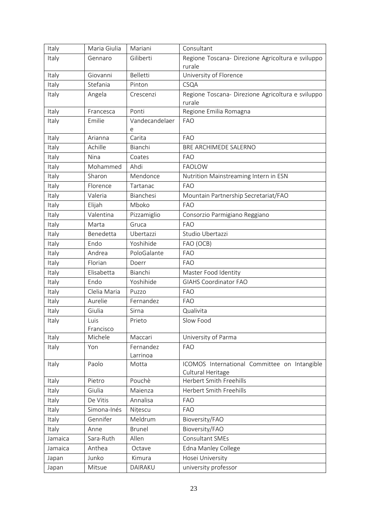| Italy   | Maria Giulia      | Mariani               | Consultant                                                        |
|---------|-------------------|-----------------------|-------------------------------------------------------------------|
| Italy   | Gennaro           | Giliberti             | Regione Toscana- Direzione Agricoltura e sviluppo                 |
|         |                   |                       | rurale                                                            |
| Italy   | Giovanni          | <b>Belletti</b>       | University of Florence                                            |
| Italy   | Stefania          | Pinton                | CSQA                                                              |
| Italy   | Angela            | Crescenzi             | Regione Toscana- Direzione Agricoltura e sviluppo                 |
|         |                   |                       | rurale                                                            |
| Italy   | Francesca         | Ponti                 | Regione Emilia Romagna                                            |
| Italy   | Emilie            | Vandecandelaer<br>e   | <b>FAO</b>                                                        |
| Italy   | Arianna           | Carita                | <b>FAO</b>                                                        |
| Italy   | Achille           | Bianchi               | BRE ARCHIMEDE SALERNO                                             |
| Italy   | Nina              | Coates                | <b>FAO</b>                                                        |
| Italy   | Mohammed          | Ahdi                  | <b>FAOLOW</b>                                                     |
| Italy   | Sharon            | Mendonce              | Nutrition Mainstreaming Intern in ESN                             |
| Italy   | Florence          | Tartanac              | <b>FAO</b>                                                        |
| Italy   | Valeria           | Bianchesi             | Mountain Partnership Secretariat/FAO                              |
| Italy   | Elijah            | Mboko                 | <b>FAO</b>                                                        |
| Italy   | Valentina         | Pizzamiglio           | Consorzio Parmigiano Reggiano                                     |
| Italy   | Marta             | Gruca                 | <b>FAO</b>                                                        |
| Italy   | Benedetta         | Ubertazzi             | Studio Ubertazzi                                                  |
| Italy   | Endo              | Yoshihide             | FAO (OCB)                                                         |
| Italy   | Andrea            | PoloGalante           | <b>FAO</b>                                                        |
| Italy   | Florian           | Doerr                 | <b>FAO</b>                                                        |
| Italy   | Elisabetta        | Bianchi               | Master Food Identity                                              |
| Italy   | Endo              | Yoshihide             | <b>GIAHS Coordinator FAO</b>                                      |
| Italy   | Clelia Maria      | Puzzo                 | <b>FAO</b>                                                        |
| Italy   | Aurelie           | Fernandez             | <b>FAO</b>                                                        |
| Italy   | Giulia            | Sirna                 | Qualivita                                                         |
| Italy   | Luis<br>Francisco | Prieto                | Slow Food                                                         |
| Italy   | Michele           | Maccari               | University of Parma                                               |
| Italy   | Yon               | Fernandez<br>Larrinoa | <b>FAO</b>                                                        |
| Italy   | Paolo             | Motta                 | ICOMOS International Committee on Intangible<br>Cultural Heritage |
| Italy   | Pietro            | Pouchè                | Herbert Smith Freehills                                           |
| Italy   | Giulia            | Maienza               | Herbert Smith Freehills                                           |
| Italy   | De Vitis          | Annalisa              | <b>FAO</b>                                                        |
| Italy   | Simona-Inés       | Nițescu               | <b>FAO</b>                                                        |
| Italy   | Gennifer          | Meldrum               | Bioversity/FAO                                                    |
| Italy   | Anne              | <b>Brunel</b>         | Bioversity/FAO                                                    |
| Jamaica | Sara-Ruth         | Allen                 | Consultant SMEs                                                   |
| Jamaica | Anthea            | Octave                | Edna Manley College                                               |
| Japan   | Junko             | Kimura                | Hosei University                                                  |
| Japan   | Mitsue            | DAIRAKU               | university professor                                              |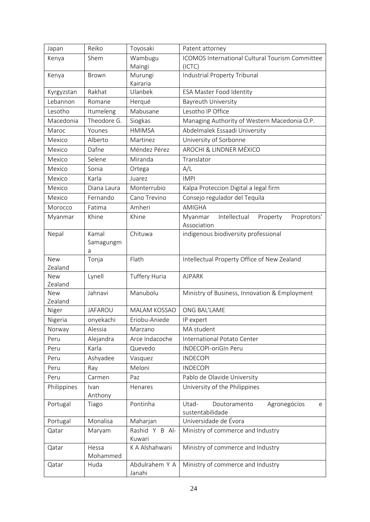| Japan                 | Reiko                   | Toyosaki                 | Patent attorney                                                   |
|-----------------------|-------------------------|--------------------------|-------------------------------------------------------------------|
| Kenya                 | Shem                    | Wambugu<br>Maingi        | ICOMOS International Cultural Tourism Committee<br>(ICTC)         |
| Kenya                 | <b>Brown</b>            | Murungi<br>Kairaria      | Industrial Property Tribunal                                      |
| Kyrgyzstan            | Rakhat                  | Ulanbek                  | <b>ESA Master Food Identity</b>                                   |
| Lebannon              | Romane                  | Herqué                   | <b>Bayreuth University</b>                                        |
| Lesotho               | Itumeleng               | Mabusane                 | Lesotho IP Office                                                 |
| Macedonia             | Theodore G.             | Siogkas                  | Managing Authority of Western Macedonia O.P.                      |
| Maroc                 | Younes                  | <b>HMIMSA</b>            | Abdelmalek Essaadi University                                     |
| Mexico                | Alberto                 | Martinez                 | University of Sorbonne                                            |
| Mexico                | Dafne                   | Méndez Pérez             | <b>AROCHI &amp; LINDNER MÉXICO</b>                                |
| Mexico                | Selene                  | Miranda                  | Translator                                                        |
| Mexico                | Sonia                   | Ortega                   | A/L                                                               |
| Mexico                | Karla                   | Juarez                   | <b>IMPI</b>                                                       |
| Mexico                | Diana Laura             | Monterrubio              | Kalpa Proteccion Digital a legal firm                             |
| Mexico                | Fernando                | Cano Trevino             | Consejo regulador del Tequila                                     |
| Morocco               | Fatima                  | Amheri                   | <b>AMIGHA</b>                                                     |
| Myanmar               | Khine                   | Khine                    | Intellectual<br>Myanmar<br>Property<br>Proprotors'<br>Association |
| Nepal                 | Kamal<br>Samagungm<br>a | Chituwa                  | indigenous biodiversity professional                              |
| <b>New</b><br>Zealand | Tonja                   | Flath                    | Intellectual Property Office of New Zealand                       |
| <b>New</b><br>Zealand | Lynell                  | Tuffery Huria            | <b>AJPARK</b>                                                     |
| <b>New</b><br>Zealand | Jahnavi                 | Manubolu                 | Ministry of Business, Innovation & Employment                     |
| Niger                 | <b>JAFAROU</b>          | <b>MALAM KOSSAO</b>      | ONG BAL'LAME                                                      |
| Nigeria               | onyekachi               | Eriobu-Aniede            | IP expert                                                         |
| Norway                | Alessia                 | Marzano                  | MA student                                                        |
| Peru                  | Alejandra               | Arce Indacoche           | International Potato Center                                       |
| Peru                  | Karla                   | Quevedo                  | INDECOPI-oriGIn Peru                                              |
| Peru                  | Ashyadee                | Vasquez                  | <b>INDECOPI</b>                                                   |
| Peru                  | Ray                     | Meloni                   | <b>INDECOPI</b>                                                   |
| Peru                  | Carmen                  | Paz                      | Pablo de Olavide University                                       |
| Philippines           | Ivan<br>Anthony         | Henares                  | University of the Philippines                                     |
| Portugal              | Tiago                   | Pontinha                 | Utad-<br>Agronegócios<br>Doutoramento<br>e<br>sustentabilidade    |
| Portugal              | Monalisa                | Maharjan                 | Universidade de Évora                                             |
| Qatar                 | Maryam                  | Rashid Y B Al-<br>Kuwari | Ministry of commerce and Industry                                 |
| Qatar                 | Hessa<br>Mohammed       | K A Alshahwani           | Ministry of commerce and Industry                                 |
| Qatar                 | Huda                    | Abdulrahem Y A<br>Janahi | Ministry of commerce and Industry                                 |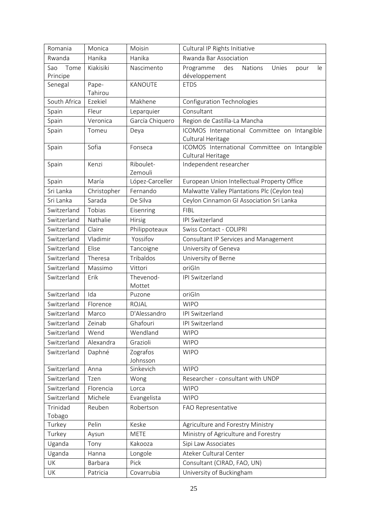| Romania      | Monica           | Moisin               | Cultural IP Rights Initiative                                     |
|--------------|------------------|----------------------|-------------------------------------------------------------------|
| Rwanda       | Hanika           | Hanika               | Rwanda Bar Association                                            |
| Sao<br>Tome  | Kiakisiki        | Nascimento           | Programme<br>des<br>Nations<br>Unies<br>pour<br>le                |
| Principe     |                  |                      | développement                                                     |
| Senegal      | Pape-<br>Tahirou | KANOUTE              | <b>ETDS</b>                                                       |
| South Africa | Ezekiel          | Makhene              | <b>Configuration Technologies</b>                                 |
| Spain        | Fleur            | Leparquier           | Consultant                                                        |
| Spain        | Veronica         | García Chiquero      | Region de Castilla-La Mancha                                      |
| Spain        | Tomeu            | Deya                 | ICOMOS International Committee on Intangible<br>Cultural Heritage |
| Spain        | Sofia            | Fonseca              | ICOMOS International Committee on Intangible<br>Cultural Heritage |
| Spain        | Kenzi            | Riboulet-<br>Zemouli | Independent researcher                                            |
| Spain        | María            | López-Carceller      | European Union Intellectual Property Office                       |
| Sri Lanka    | Christopher      | Fernando             | Malwatte Valley Plantations Plc (Ceylon tea)                      |
| Sri Lanka    | Sarada           | De Silva             | Ceylon Cinnamon GI Association Sri Lanka                          |
| Switzerland  | Tobias           | Eisenring            | <b>FIBL</b>                                                       |
| Switzerland  | Nathalie         | Hirsig               | IPI Switzerland                                                   |
| Switzerland  | Claire           | Philippoteaux        | Swiss Contact - COLIPRI                                           |
| Switzerland  | Vladimir         | Yossifov             | Consultant IP Services and Management                             |
| Switzerland  | Elise            | Tancoigne            | University of Geneva                                              |
| Switzerland  | Theresa          | Tribaldos            | University of Berne                                               |
| Switzerland  | Massimo          | Vittori              | oriGIn                                                            |
| Switzerland  | Erik             | Thevenod-<br>Mottet  | IPI Switzerland                                                   |
| Switzerland  | Ida              | Puzone               | oriGIn                                                            |
| Switzerland  | Florence         | <b>ROJAL</b>         | <b>WIPO</b>                                                       |
| Switzerland  | Marco            | D'Alessandro         | IPI Switzerland                                                   |
| Switzerland  | Zeinab           | Ghafouri             | IPI Switzerland                                                   |
| Switzerland  | Wend             | Wendland             | <b>WIPO</b>                                                       |
| Switzerland  | Alexandra        | Grazioli             | <b>WIPO</b>                                                       |
| Switzerland  | Daphné           | Zografos<br>Johnsson | <b>WIPO</b>                                                       |
| Switzerland  | Anna             | Sinkevich            | <b>WIPO</b>                                                       |
| Switzerland  | Tzen             | Wong                 | Researcher - consultant with UNDP                                 |
| Switzerland  | Florencia        | Lorca                | <b>WIPO</b>                                                       |
| Switzerland  | Michele          | Evangelista          | <b>WIPO</b>                                                       |
| Trinidad     | Reuben           | Robertson            | FAO Representative                                                |
| Tobago       |                  |                      |                                                                   |
| Turkey       | Pelin            | Keske                | Agriculture and Forestry Ministry                                 |
| Turkey       | Aysun            | <b>METE</b>          | Ministry of Agriculture and Forestry                              |
| Uganda       | Tony             | Kakooza              | Sipi Law Associates                                               |
| Uganda       | Hanna            | Longole              | Ateker Cultural Center                                            |
| UK           | Barbara          | Pick                 | Consultant (CIRAD, FAO, UN)                                       |
| UK           | Patricia         | Covarrubia           | University of Buckingham                                          |